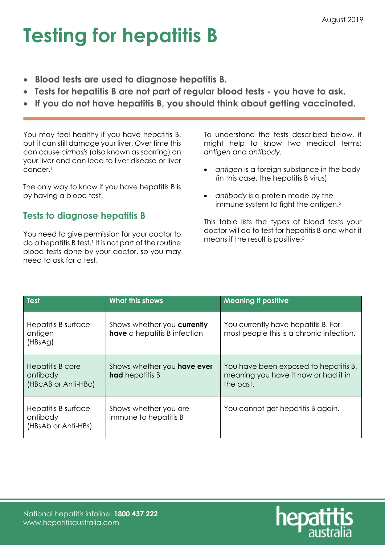## Testing for hepatitis B

- Blood tests are used to diagnose hepatitis B.
- Tests for hepatitis B are not part of regular blood tests you have to ask.
- If you do not have hepatitis B, you should think about getting vaccinated.

You may feel healthy if you have hepatitis B, but it can still damage your liver. Over time this can cause cirrhosis (also known as scarring) on your liver and can lead to liver disease or liver cancer.<sup>1</sup>

The only way to know if you have hepatitis B is by having a blood test.

### Tests to diagnose hepatitis B

You need to give permission for your doctor to  $\alpha$  a hepatitis B test.<sup>1</sup> It is not part of the routine blood tests done by your doctor, so you may need to ask for a test.

To understand the tests described below, it might help to know two medical terms: antigen and antibody.

- antigen is a foreign substance in the body (in this case, the hepatitis B virus)
- antibody is a protein made by the immune system to fight the antigen.<sup>2</sup>

This table lists the types of blood tests your doctor will do to test for hepatitis B and what it means if the result is positive:<sup>3</sup>

| Test                                                   | <b>What this shows</b>                                      | <b>Meaning if positive</b>                                                                 |
|--------------------------------------------------------|-------------------------------------------------------------|--------------------------------------------------------------------------------------------|
| Hepatitis B surface<br>antigen<br>(HBsAg)              | Shows whether you currently<br>have a hepatitis B infection | You currently have hepatitis B. For<br>most people this is a chronic infection.            |
| Hepatitis B core<br>antibody<br>(HBcAB or Anti-HBc)    | Shows whether you have ever<br><b>had</b> hepatitis B       | You have been exposed to hepatitis B,<br>meaning you have it now or had it in<br>the past. |
| Hepatitis B surface<br>antibody<br>(HBsAb or Anti-HBs) | Shows whether you are<br>immune to hepatitis B              | You cannot get hepatitis B again.                                                          |